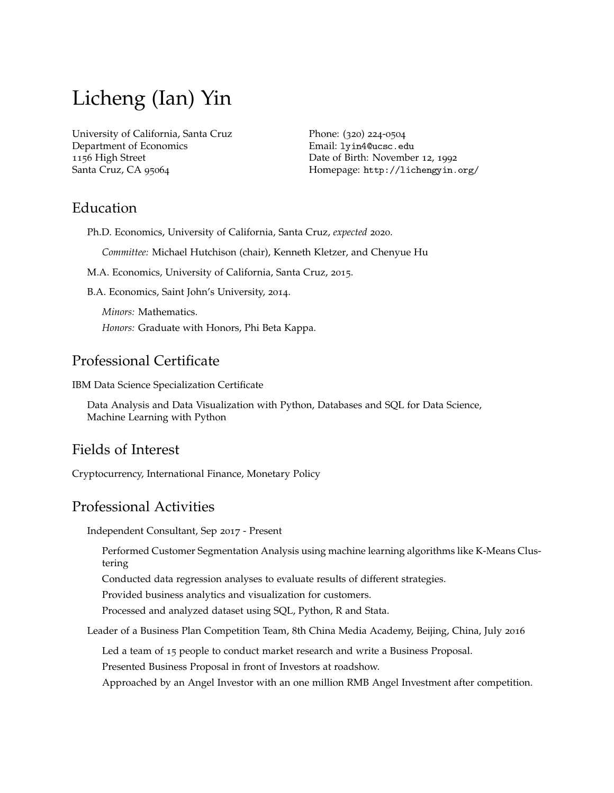# Licheng (Ian) Yin

[University of California, Santa Cruz](https://www.ucsc.edu/) [Department of Economics](https://economics.ucsc.edu/) 1156 High Street Santa Cruz, CA 95064

Phone: (320) 224-0504 Email: [lyin4@ucsc.edu](mailto:lyin4@ucsc.edu) Date of Birth: November 12, 1992 Homepage: <http://lichengyin.org/>

### Education

Ph.D. Economics, University of California, Santa Cruz, *expected* 2020.

*Committee:* [Michael Hutchison](https://people.ucsc.edu/~hutch/) (chair), [Kenneth Kletzer,](https://people.ucsc.edu/~kkletzer/) and [Chenyue Hu](https://economics.ucsc.edu/faculty/ladder-faculty.php?uid=chu78)

M.A. Economics, University of California, Santa Cruz, 2015.

B.A. Economics, Saint John's University, 2014.

*Minors:* Mathematics. *Honors:* Graduate with Honors, [Phi Beta Kappa.](http://www.pbk.org/)

### Professional Certificate

IBM Data Science Specialization Certificate

Data Analysis and Data Visualization with Python, Databases and SQL for Data Science, Machine Learning with Python

### Fields of Interest

Cryptocurrency, International Finance, Monetary Policy

### Professional Activities

Independent Consultant, Sep 2017 - Present

Performed Customer Segmentation Analysis using machine learning algorithms like K-Means Clustering

Conducted data regression analyses to evaluate results of different strategies.

Provided business analytics and visualization for customers.

Processed and analyzed dataset using SQL, Python, R and Stata.

Leader of a Business Plan Competition Team, 8th China Media Academy, Beijing, China, July 2016

Led a team of 15 people to conduct market research and write a Business Proposal.

Presented Business Proposal in front of Investors at roadshow.

Approached by an Angel Investor with an one million RMB Angel Investment after competition.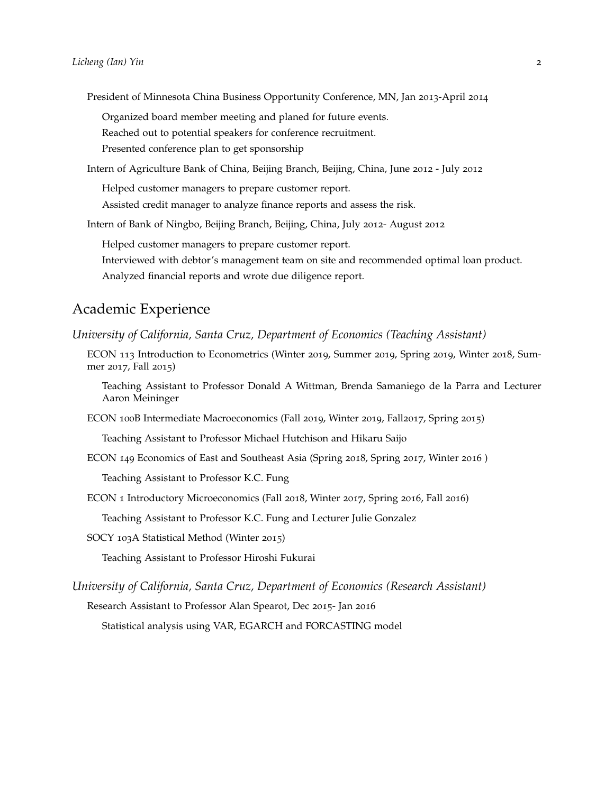President of Minnesota China Business Opportunity Conference, MN, Jan 2013-April 2014

Organized board member meeting and planed for future events.

Reached out to potential speakers for conference recruitment.

Presented conference plan to get sponsorship

Intern of Agriculture Bank of China, Beijing Branch, Beijing, China, June 2012 - July 2012

Helped customer managers to prepare customer report.

Assisted credit manager to analyze finance reports and assess the risk.

Intern of Bank of Ningbo, Beijing Branch, Beijing, China, July 2012- August 2012

Helped customer managers to prepare customer report.

Interviewed with debtor's management team on site and recommended optimal loan product. Analyzed financial reports and wrote due diligence report.

### Academic Experience

*University of California, Santa Cruz, Department of Economics (Teaching Assistant)*

ECON 113 Introduction to Econometrics (Winter 2019, Summer 2019, Spring 2019, Winter 2018, Summer 2017, Fall 2015)

Teaching Assistant to Professor Donald A Wittman, Brenda Samaniego de la Parra and Lecturer Aaron Meininger

ECON 100B Intermediate Macroeconomics (Fall 2019, Winter 2019, Fall2017, Spring 2015)

Teaching Assistant to Professor Michael Hutchison and Hikaru Saijo

ECON 149 Economics of East and Southeast Asia (Spring 2018, Spring 2017, Winter 2016 )

Teaching Assistant to Professor K.C. Fung

ECON 1 Introductory Microeconomics (Fall 2018, Winter 2017, Spring 2016, Fall 2016)

Teaching Assistant to Professor K.C. Fung and Lecturer Julie Gonzalez

SOCY 103A Statistical Method (Winter 2015)

Teaching Assistant to Professor Hiroshi Fukurai

*University of California, Santa Cruz, Department of Economics (Research Assistant)*

Research Assistant to Professor Alan Spearot, Dec 2015- Jan 2016

Statistical analysis using VAR, EGARCH and FORCASTING model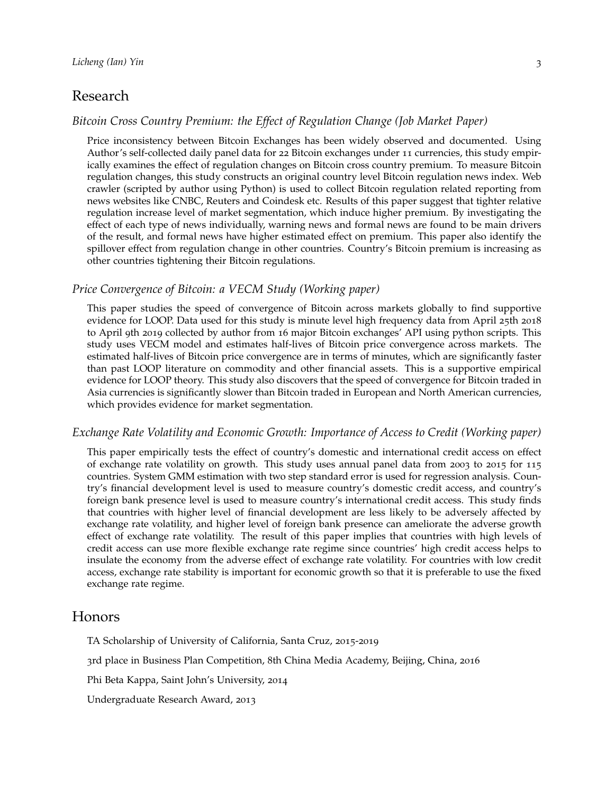### Research

#### *Bitcoin Cross Country Premium: the Effect of Regulation Change (Job Market Paper)*

Price inconsistency between Bitcoin Exchanges has been widely observed and documented. Using Author's self-collected daily panel data for 22 Bitcoin exchanges under 11 currencies, this study empirically examines the effect of regulation changes on Bitcoin cross country premium. To measure Bitcoin regulation changes, this study constructs an original country level Bitcoin regulation news index. Web crawler (scripted by author using Python) is used to collect Bitcoin regulation related reporting from news websites like CNBC, Reuters and Coindesk etc. Results of this paper suggest that tighter relative regulation increase level of market segmentation, which induce higher premium. By investigating the effect of each type of news individually, warning news and formal news are found to be main drivers of the result, and formal news have higher estimated effect on premium. This paper also identify the spillover effect from regulation change in other countries. Country's Bitcoin premium is increasing as other countries tightening their Bitcoin regulations.

#### *Price Convergence of Bitcoin: a VECM Study (Working paper)*

This paper studies the speed of convergence of Bitcoin across markets globally to find supportive evidence for LOOP. Data used for this study is minute level high frequency data from April 25th 2018 to April 9th 2019 collected by author from 16 major Bitcoin exchanges' API using python scripts. This study uses VECM model and estimates half-lives of Bitcoin price convergence across markets. The estimated half-lives of Bitcoin price convergence are in terms of minutes, which are significantly faster than past LOOP literature on commodity and other financial assets. This is a supportive empirical evidence for LOOP theory. This study also discovers that the speed of convergence for Bitcoin traded in Asia currencies is significantly slower than Bitcoin traded in European and North American currencies, which provides evidence for market segmentation.

#### *Exchange Rate Volatility and Economic Growth: Importance of Access to Credit (Working paper)*

This paper empirically tests the effect of country's domestic and international credit access on effect of exchange rate volatility on growth. This study uses annual panel data from 2003 to 2015 for 115 countries. System GMM estimation with two step standard error is used for regression analysis. Country's financial development level is used to measure country's domestic credit access, and country's foreign bank presence level is used to measure country's international credit access. This study finds that countries with higher level of financial development are less likely to be adversely affected by exchange rate volatility, and higher level of foreign bank presence can ameliorate the adverse growth effect of exchange rate volatility. The result of this paper implies that countries with high levels of credit access can use more flexible exchange rate regime since countries' high credit access helps to insulate the economy from the adverse effect of exchange rate volatility. For countries with low credit access, exchange rate stability is important for economic growth so that it is preferable to use the fixed exchange rate regime.

#### Honors

TA Scholarship of University of California, Santa Cruz, 2015-2019

3rd place in Business Plan Competition, 8th China Media Academy, Beijing, China, 2016

Phi Beta Kappa, Saint John's University, 2014

Undergraduate Research Award, 2013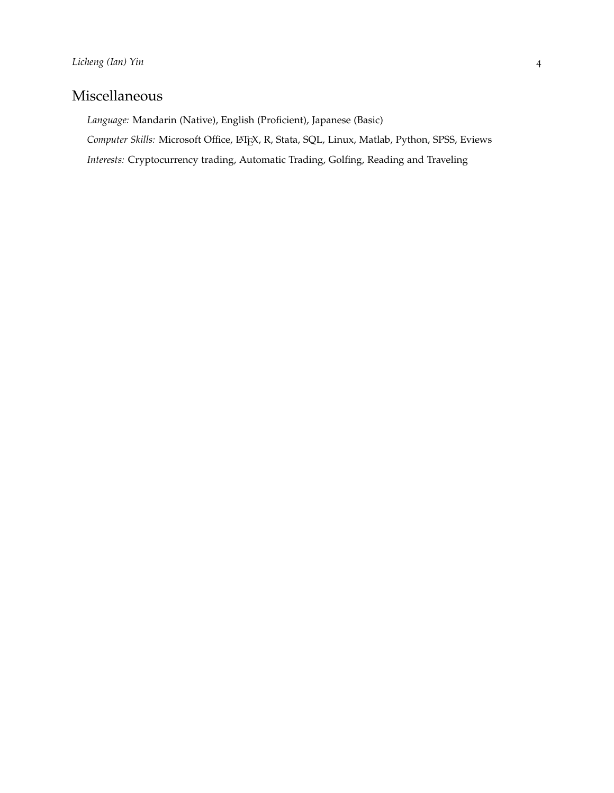# Miscellaneous

*Language:* Mandarin (Native), English (Proficient), Japanese (Basic)

Computer Skills: Microsoft Office, L<sup>AT</sup>EX, R, Stata, SQL, Linux, Matlab, Python, SPSS, Eviews

*Interests:* Cryptocurrency trading, Automatic Trading, Golfing, Reading and Traveling